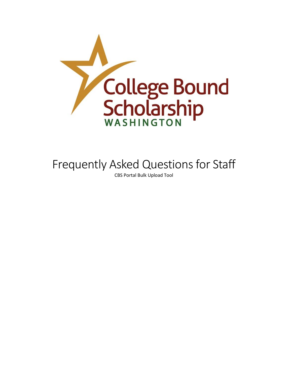

# Frequently Asked Questions for Staff

CBS Portal Bulk Upload Tool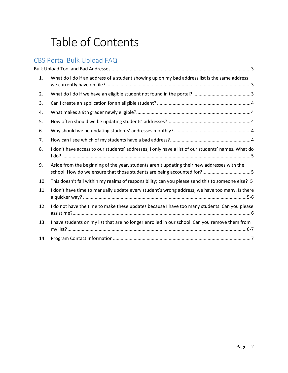# Table of Contents

# CBS Portal Bulk Upload FAQ

| 1.  | What do I do if an address of a student showing up on my bad address list is the same address                                                                         |
|-----|-----------------------------------------------------------------------------------------------------------------------------------------------------------------------|
| 2.  |                                                                                                                                                                       |
| 3.  |                                                                                                                                                                       |
| 4.  |                                                                                                                                                                       |
| 5.  |                                                                                                                                                                       |
| 6.  |                                                                                                                                                                       |
| 7.  |                                                                                                                                                                       |
| 8.  | I don't have access to our students' addresses; I only have a list of our students' names. What do                                                                    |
| 9.  | Aside from the beginning of the year, students aren't updating their new addresses with the<br>school. How do we ensure that those students are being accounted for?5 |
| 10. | This doesn't fall within my realms of responsibility; can you please send this to someone else? 5                                                                     |
| 11. | I don't have time to manually update every student's wrong address; we have too many. Is there                                                                        |
| 12. | I do not have the time to make these updates because I have too many students. Can you please                                                                         |
| 13. | I have students on my list that are no longer enrolled in our school. Can you remove them from                                                                        |
| 14. |                                                                                                                                                                       |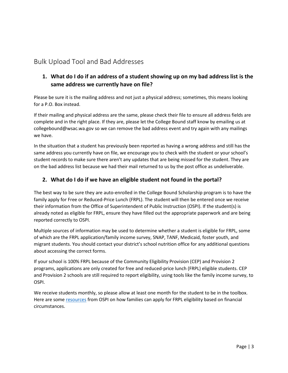# Bulk Upload Tool and Bad Addresses

# **1. What do I do if an address of a student showing up on my bad address list is the same address we currently have on file?**

Please be sure it is the mailing address and not just a physical address; sometimes, this means looking for a P.O. Box instead.

If their mailing and physical address are the same, please check their file to ensure all address fields are complete and in the right place. If they are, please let the College Bound staff know by emailing us at collegebound@wsac.wa.gov so we can remove the bad address event and try again with any mailings we have.

In the situation that a student has previously been reported as having a wrong address and still has the same address you currently have on file, we encourage you to check with the student or your school's student records to make sure there aren't any updates that are being missed for the student. They are on the bad address list because we had their mail returned to us by the post office as undeliverable.

#### **2. What do I do if we have an eligible student not found in the portal?**

The best way to be sure they are auto-enrolled in the College Bound Scholarship program is to have the family apply for Free or Reduced-Price Lunch (FRPL). The student will then be entered once we receive their information from the Office of Superintendent of Public Instruction (OSPI). If the student(s) is already noted as eligible for FRPL, ensure they have filled out the appropriate paperwork and are being reported correctly to OSPI.

Multiple sources of information may be used to determine whether a student is eligible for FRPL, some of which are the FRPL application/family income survey, SNAP, TANF, Medicaid, foster youth, and migrant students. You should contact your district's school nutrition office for any additional questions about accessing the correct forms.

If your school is 100% FRPL because of the Community Eligibility Provision (CEP) and Provision 2 programs, applications are only created for free and reduced-price lunch (FRPL) eligible students. CEP and Provision 2 schools are still required to report eligibility, using tools like the family income survey, to OSPI.

We receive students monthly, so please allow at least one month for the student to be in the toolbox. Here are some [resources](https://www.k12.wa.us/policy-funding/child-nutrition/school-meals/national-school-lunch-program/meal-application-and-verification-information#dexp-accordion-item--5) from OSPI on how families can apply for FRPL eligibility based on financial circumstances.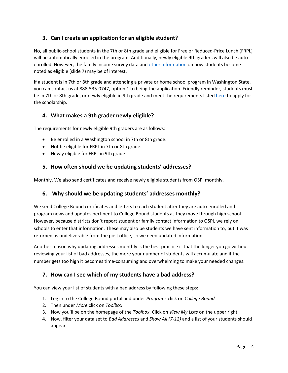#### **3. Can I create an application for an eligible student?**

No, all public-school students in the 7th or 8th grade and eligible for Free or Reduced-Price Lunch (FRPL) will be automatically enrolled in the program. Additionally, newly eligible 9th graders will also be autoenrolled. However, the family income survey data an[d other information](https://gcc02.safelinks.protection.outlook.com/?url=https%3A%2F%2Fwsac.wa.gov%2Fsites%2Fdefault%2Ffiles%2F2021.CBS.UpdatesWebinarSlideDeck.pdf&data=05%7C01%7CPabloRO%40wsac.wa.gov%7C658d258e742c4bd2c2c208da2e096f38%7C11d0e217264e400a8ba057dcc127d72d%7C0%7C0%7C637872915299739690%7CUnknown%7CTWFpbGZsb3d8eyJWIjoiMC4wLjAwMDAiLCJQIjoiV2luMzIiLCJBTiI6Ik1haWwiLCJXVCI6Mn0%3D%7C3000%7C%7C%7C&sdata=UJB%2Fvi17YlLhsS2MNlyNQtlfOZNyFa6jxqps%2BVUfHo8%3D&reserved=0) on how students become noted as eligible (slide 7) may be of interest.

If a student is in 7th or 8th grade and attending a private or home school program in Washington State, you can contact us at 888-535-0747, option 1 to being the application. Friendly reminder, students must be in 7th or 8th grade, or newly eligible in 9th grade and meet the requirements listed [here](https://wsac.wa.gov/college-bound#sign-up) to apply for the scholarship.

#### **4. What makes a 9th grader newly eligible?**

The requirements for newly eligible 9th graders are as follows:

- Be enrolled in a Washington school in 7th or 8th grade.
- Not be eligible for FRPL in 7th or 8th grade.
- Newly eligible for FRPL in 9th grade.

#### **5. How often should we be updating students' addresses?**

Monthly. We also send certificates and receive newly eligible students from OSPI monthly.

#### **6. Why should we be updating students' addresses monthly?**

We send College Bound certificates and letters to each student after they are auto-enrolled and program news and updates pertinent to College Bound students as they move through high school. However, because districts don't report student or family contact information to OSPI, we rely on schools to enter that information. These may also be students we have sent information to, but it was returned as undeliverable from the post office, so we need updated information.

Another reason why updating addresses monthly is the best practice is that the longer you go without reviewing your list of bad addresses, the more your number of students will accumulate and if the number gets too high it becomes time-consuming and overwhelming to make your needed changes.

#### **7. How can I see which of my students have a bad address?**

You can view your list of students with a bad address by following these steps:

- 1. Log in to the College Bound portal and under *Programs* click on *College Bound*
- 2. Then under *More* click on *Toolbox*
- 3. Now you'll be on the homepage of the *Toolbox*. Click on *View My Lists* on the upper right.
- 4. Now, filter your data set to *Bad Addresses* and *Show All (7-12)* and a list of your students should appear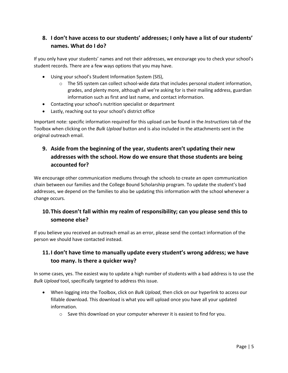# **8. I don't have access to our students' addresses; I only have a list of our students' names. What do I do?**

If you only have your students' names and not their addresses, we encourage you to check your school's student records. There are a few ways options that you may have.

- Using your school's Student Information System (SIS),
	- $\circ$  The SIS system can collect school-wide data that includes personal student information, grades, and plenty more, although all we're asking for is their mailing address, guardian information such as first and last name, and contact information.
- Contacting your school's nutrition specialist or department
- Lastly, reaching out to your school's district office

Important note: specific information required for this upload can be found in the *Instructions* tab of the Toolbox when clicking on the *Bulk Upload* button and is also included in the attachments sent in the original outreach email.

# **9. Aside from the beginning of the year, students aren't updating their new addresses with the school. How do we ensure that those students are being accounted for?**

We encourage other communication mediums through the schools to create an open communication chain between our families and the College Bound Scholarship program. To update the student's bad addresses, we depend on the families to also be updating this information with the school whenever a change occurs.

# **10.This doesn't fall within my realm of responsibility; can you please send this to someone else?**

If you believe you received an outreach email as an error, please send the contact information of the person we should have contacted instead.

# **11.I don't have time to manually update every student's wrong address; we have too many. Is there a quicker way?**

In some cases, yes. The easiest way to update a high number of students with a bad address is to use the *Bulk Upload* tool, specifically targeted to address this issue.

- When logging into the Toolbox, click on *Bulk Upload*, then click on our hyperlink to access our fillable download. This download is what you will upload once you have all your updated information.
	- $\circ$  Save this download on your computer wherever it is easiest to find for you.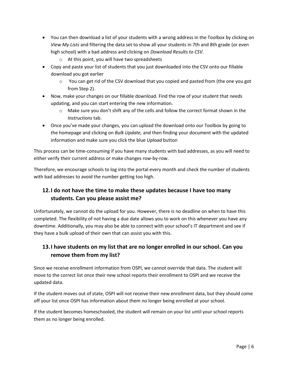- You can then download a list of your students with a wrong address in the Toolbox by clicking on *View My Lists* and filtering the data set to show all your students in 7th and 8th grade (or even high school) with a bad address and clicking on *Download Results to CSV.*
	- o At this point, you will have two spreadsheets
- Copy and paste your list of students that you just downloaded into the CSV onto our fillable download you got earlier
	- $\circ$  You can get rid of the CSV download that you copied and pasted from (the one you got from Step 2).
- Now, make your changes on our fillable download. Find the row of your student that needs updating, and you can start entering the new information.
	- $\circ$  Make sure you don't shift any of the cells and follow the correct format shown in the *Instructions* tab.
- Once you've made your changes, you can upload the download onto our Toolbox by going to the homepage and clicking on *Bulk Update,* and then finding your document with the updated information and make sure you click the blue *Upload* button

This process can be time-consuming if you have many students with bad addresses, as you will need to either verify their current address or make changes row-by-row.

Therefore, we encourage schools to log into the portal every month and check the number of students with bad addresses to avoid the number getting too high.

# **12.I do not have the time to make these updates because I have too many students. Can you please assist me?**

Unfortunately, we cannot do the upload for you. However, there is no deadline on when to have this completed. The flexibility of not having a due date allows you to work on this whenever you have any downtime. Additionally, you may also be able to connect with your school's IT department and see if they have a bulk upload of their own that can assist you with this.

# **13.I have students on my list that are no longer enrolled in our school. Can you remove them from my list?**

Since we receive enrollment information from OSPI, we cannot override that data. The student will move to the correct list once their new school reports their enrollment to OSPI and we receive the updated data.

If the student moves out of state, OSPI will not receive their new enrollment data, but they should come off your list once OSPI has information about them no longer being enrolled at your school.

If the student becomes homeschooled, the student will remain on your list until your school reports them as no longer being enrolled.